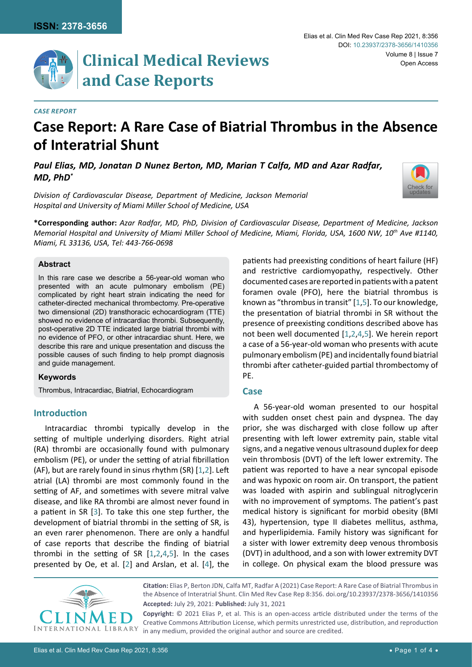[Check for](http://crossmark.crossref.org/dialog/?doi=10.23937/2378-3656/1410356&domain=pdf) updates



#### *Case Report*

# **Case Report: A Rare Case of Biatrial Thrombus in the Absence of Interatrial Shunt**

*Paul Elias, MD, Jonatan D Nunez Berton, MD, Marian T Calfa, MD and Azar Radfar, MD, PhD\**

*Division of Cardiovascular Disease, Department of Medicine, Jackson Memorial Hospital and University of Miami Miller School of Medicine, USA*

**\*Corresponding author:** *Azar Radfar, MD, PhD, Division of Cardiovascular Disease, Department of Medicine, Jackson Memorial Hospital and University of Miami Miller School of Medicine, Miami, Florida, USA, 1600 NW, 10th Ave #1140, Miami, FL 33136, USA, Tel: 443-766-0698*

#### **Abstract**

In this rare case we describe a 56-year-old woman who presented with an acute pulmonary embolism (PE) complicated by right heart strain indicating the need for catheter-directed mechanical thrombectomy. Pre-operative two dimensional (2D) transthoracic echocardiogram (TTE) showed no evidence of intracardiac thrombi. Subsequently, post-operative 2D TTE indicated large biatrial thrombi with no evidence of PFO, or other intracardiac shunt. Here, we describe this rare and unique presentation and discuss the possible causes of such finding to help prompt diagnosis and guide management.

#### **Keywords**

Thrombus, Intracardiac, Biatrial, Echocardiogram

# **Introduction**

Intracardiac thrombi typically develop in the setting of multiple underlying disorders. Right atrial (RA) thrombi are occasionally found with pulmonary embolism (PE), or under the setting of atrial fibrillation (AF), but are rarely found in sinus rhythm (SR)  $[1,2]$  $[1,2]$  $[1,2]$  $[1,2]$ . Left atrial (LA) thrombi are most commonly found in the setting of AF, and sometimes with severe mitral valve disease, and like RA thrombi are almost never found in a patient in SR [[3\]](#page-3-4). To take this one step further, the development of biatrial thrombi in the setting of SR, is an even rarer phenomenon. There are only a handful of case reports that describe the finding of biatrial thrombi in the setting of SR  $[1,2,4,5]$  $[1,2,4,5]$  $[1,2,4,5]$  $[1,2,4,5]$  $[1,2,4,5]$  $[1,2,4,5]$  $[1,2,4,5]$ . In the cases presented by Oe, et al. [[2](#page-3-2)] and Arslan, et al. [[4\]](#page-3-3), the

patients had preexisting conditions of heart failure (HF) and restrictive cardiomyopathy, respectively. Other documented cases are reported in patients with a patent foramen ovale (PFO), here the biatrial thrombus is known as "thrombus in transit" [[1,](#page-3-0)[5](#page-3-1)]. To our knowledge, the presentation of biatrial thrombi in SR without the presence of preexisting conditions described above has not been well documented [[1](#page-3-0),[2](#page-3-2)[,4,](#page-3-3)[5](#page-3-1)]. We herein report a case of a 56-year-old woman who presents with acute pulmonary embolism (PE) and incidentally found biatrial thrombi after catheter-guided partial thrombectomy of PE.

# **Case**

A 56-year-old woman presented to our hospital with sudden onset chest pain and dyspnea. The day prior, she was discharged with close follow up after presenting with left lower extremity pain, stable vital signs, and a negative venous ultrasound duplex for deep vein thrombosis (DVT) of the left lower extremity. The patient was reported to have a near syncopal episode and was hypoxic on room air. On transport, the patient was loaded with aspirin and sublingual nitroglycerin with no improvement of symptoms. The patient's past medical history is significant for morbid obesity (BMI 43), hypertension, type II diabetes mellitus, asthma, and hyperlipidemia. Family history was significant for a sister with lower extremity deep venous thrombosis (DVT) in adulthood, and a son with lower extremity DVT in college. On physical exam the blood pressure was



**Accepted:** July 29, 2021: **Published:** July 31, 2021 **Citation:** Elias P, Berton JDN, Calfa MT, Radfar A (2021) Case Report: A Rare Case of Biatrial Thrombus in the Absence of Interatrial Shunt. Clin Med Rev Case Rep 8:356. [doi.org/10.23937/2378-3656/1410356](https://doi.org/10.23937/2378-3656/1410356)

**Copyright:** © 2021 Elias P, et al. This is an open-access article distributed under the terms of the Creative Commons Attribution License, which permits unrestricted use, distribution, and reproduction in any medium, provided the original author and source are credited.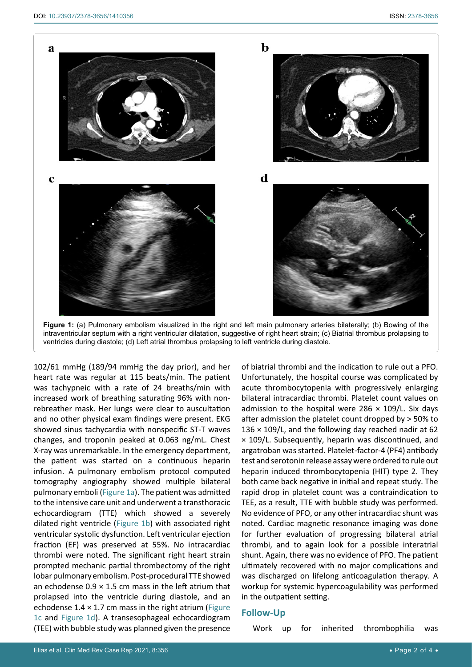<span id="page-1-0"></span>



102/61 mmHg (189/94 mmHg the day prior), and her heart rate was regular at 115 beats/min. The patient was tachypneic with a rate of 24 breaths/min with increased work of breathing saturating 96% with nonrebreather mask. Her lungs were clear to auscultation and no other physical exam findings were present. EKG showed sinus tachycardia with nonspecific ST-T waves changes, and troponin peaked at 0.063 ng/mL. Chest X-ray was unremarkable. In the emergency department, the patient was started on a continuous heparin infusion. A pulmonary embolism protocol computed tomography angiography showed multiple bilateral pulmonary emboli ([Figure 1a\)](#page-1-0). The patient was admitted to the intensive care unit and underwent a transthoracic echocardiogram (TTE) which showed a severely dilated right ventricle ([Figure 1b](#page-1-0)) with associated right ventricular systolic dysfunction. Left ventricular ejection fraction (EF) was preserved at 55%. No intracardiac thrombi were noted. The significant right heart strain prompted mechanic partial thrombectomy of the right lobar pulmonary embolism. Post-procedural TTE showed an echodense  $0.9 \times 1.5$  cm mass in the left atrium that prolapsed into the ventricle during diastole, and an echodense  $1.4 \times 1.7$  cm mass in the right atrium (Figure [1c](#page-1-0) and [Figure 1d](#page-1-0)). A transesophageal echocardiogram (TEE) with bubble study was planned given the presence

of biatrial thrombi and the indication to rule out a PFO. Unfortunately, the hospital course was complicated by acute thrombocytopenia with progressively enlarging bilateral intracardiac thrombi. Platelet count values on admission to the hospital were  $286 \times 109/L$ . Six days after admission the platelet count dropped by > 50% to  $136 \times 109$ /L, and the following day reached nadir at 62  $\times$  109/L. Subsequently, heparin was discontinued, and argatroban was started. Platelet-factor-4 (PF4) antibody test and serotonin release assay were ordered to rule out heparin induced thrombocytopenia (HIT) type 2. They both came back negative in initial and repeat study. The rapid drop in platelet count was a contraindication to TEE, as a result, TTE with bubble study was performed. No evidence of PFO, or any other intracardiac shunt was noted. Cardiac magnetic resonance imaging was done for further evaluation of progressing bilateral atrial thrombi, and to again look for a possible interatrial shunt. Again, there was no evidence of PFO. The patient ultimately recovered with no major complications and was discharged on lifelong anticoagulation therapy. A workup for systemic hypercoagulability was performed in the outpatient setting.

### **Follow-Up**

Work up for inherited thrombophilia was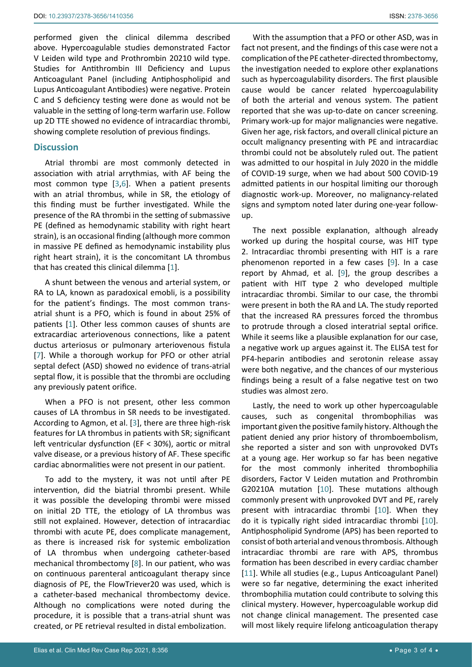performed given the clinical dilemma described above. Hypercoagulable studies demonstrated Factor V Leiden wild type and Prothrombin 20210 wild type. Studies for Antithrombin III Deficiency and Lupus Anticoagulant Panel (including Antiphospholipid and Lupus Anticoagulant Antibodies) were negative. Protein C and S deficiency testing were done as would not be valuable in the setting of long-term warfarin use. Follow up 2D TTE showed no evidence of intracardiac thrombi, showing complete resolution of previous findings.

### **Discussion**

Atrial thrombi are most commonly detected in association with atrial arrythmias, with AF being the most common type [[3,](#page-3-4)[6](#page-3-8)]. When a patient presents with an atrial thrombus, while in SR, the etiology of this finding must be further investigated. While the presence of the RA thrombi in the setting of submassive PE (defined as hemodynamic stability with right heart strain), is an occasional finding (although more common in massive PE defined as hemodynamic instability plus right heart strain), it is the concomitant LA thrombus that has created this clinical dilemma [[1](#page-3-0)].

A shunt between the venous and arterial system, or RA to LA, known as paradoxical emobli, is a possibility for the patient's findings. The most common transatrial shunt is a PFO, which is found in about 25% of patients [[1](#page-3-0)]. Other less common causes of shunts are extracardiac arteriovenous connections, like a patent ductus arteriosus or pulmonary arteriovenous fistula [[7](#page-3-9)]. While a thorough workup for PFO or other atrial septal defect (ASD) showed no evidence of trans-atrial septal flow, it is possible that the thrombi are occluding any previously patent orifice.

When a PFO is not present, other less common causes of LA thrombus in SR needs to be investigated. According to Agmon, et al. [[3\]](#page-3-4), there are three high-risk features for LA thrombus in patients with SR; significant left ventricular dysfunction (EF < 30%), aortic or mitral valve disease, or a previous history of AF. These specific cardiac abnormalities were not present in our patient.

To add to the mystery, it was not until after PE intervention, did the biatrial thrombi present. While it was possible the developing thrombi were missed on initial 2D TTE, the etiology of LA thrombus was still not explained. However, detection of intracardiac thrombi with acute PE, does complicate management, as there is increased risk for systemic embolization of LA thrombus when undergoing catheter-based mechanical thrombectomy [[8](#page-3-10)]. In our patient, who was on continuous parenteral anticoagulant therapy since diagnosis of PE, the FlowTriever20 was used, which is a catheter-based mechanical thrombectomy device. Although no complications were noted during the procedure, it is possible that a trans-atrial shunt was created, or PE retrieval resulted in distal embolization.

With the assumption that a PFO or other ASD, was in fact not present, and the findings of this case were not a complication of the PE catheter-directed thrombectomy, the investigation needed to explore other explanations such as hypercoagulability disorders. The first plausible cause would be cancer related hypercoagulability of both the arterial and venous system. The patient reported that she was up-to-date on cancer screening. Primary work-up for major malignancies were negative. Given her age, risk factors, and overall clinical picture an occult malignancy presenting with PE and intracardiac thrombi could not be absolutely ruled out. The patient was admitted to our hospital in July 2020 in the middle of COVID-19 surge, when we had about 500 COVID-19 admitted patients in our hospital limiting our thorough diagnostic work-up. Moreover, no malignancy-related signs and symptom noted later during one-year followup.

The next possible explanation, although already worked up during the hospital course, was HIT type 2. Intracardiac thrombi presenting with HIT is a rare phenomenon reported in a few cases [[9](#page-3-5)]. In a case report by Ahmad, et al. [[9](#page-3-5)], the group describes a patient with HIT type 2 who developed multiple intracardiac thrombi. Similar to our case, the thrombi were present in both the RA and LA. The study reported that the increased RA pressures forced the thrombus to protrude through a closed interatrial septal orifice. While it seems like a plausible explanation for our case, a negative work up argues against it. The ELISA test for PF4-heparin antibodies and serotonin release assay were both negative, and the chances of our mysterious findings being a result of a false negative test on two studies was almost zero.

Lastly, the need to work up other hypercoagulable causes, such as congenital thrombophilias was important given the positive family history. Although the patient denied any prior history of thromboembolism, she reported a sister and son with unprovoked DVTs at a young age. Her workup so far has been negative for the most commonly inherited thrombophilia disorders, Factor V Leiden mutation and Prothrombin G20210A mutation [[10](#page-3-6)]. These mutations although commonly present with unprovoked DVT and PE, rarely present with intracardiac thrombi [[10](#page-3-6)]. When they do it is typically right sided intracardiac thrombi [[10\]](#page-3-6). Antiphospholipid Syndrome (APS) has been reported to consist of both arterial and venous thrombosis. Although intracardiac thrombi are rare with APS, thrombus formation has been described in every cardiac chamber [[11](#page-3-7)]. While all studies (e.g., Lupus Anticoagulant Panel) were so far negative, determining the exact inherited thrombophilia mutation could contribute to solving this clinical mystery. However, hypercoagulable workup did not change clinical management. The presented case will most likely require lifelong anticoagulation therapy